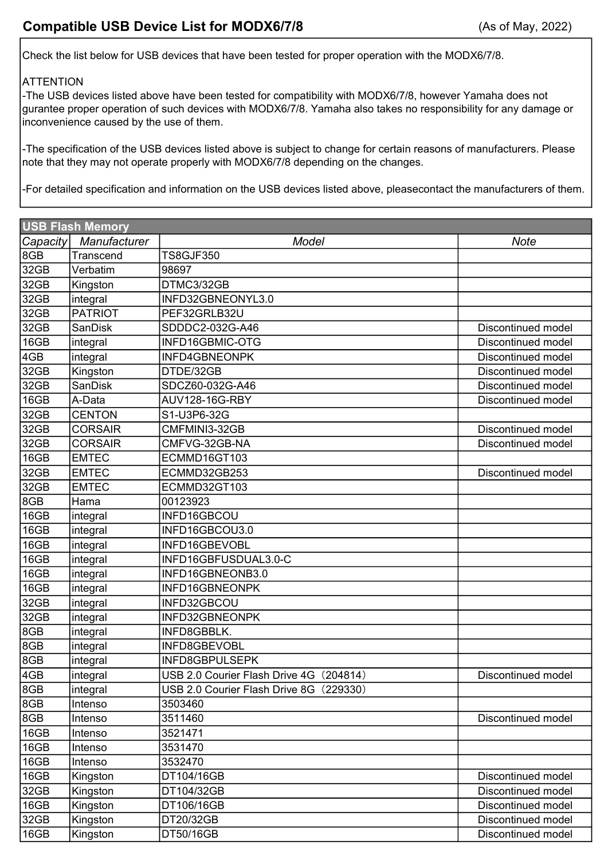Check the list below for USB devices that have been tested for proper operation with the MODX6/7/8.

## **ATTENTION**

-The USB devices listed above have been tested for compatibility with MODX6/7/8, however Yamaha does not gurantee proper operation of such devices with MODX6/7/8. Yamaha also takes no responsibility for any damage or inconvenience caused by the use of them.

-The specification of the USB devices listed above is subject to change for certain reasons of manufacturers. Please note that they may not operate properly with MODX6/7/8 depending on the changes.

-For detailed specification and information on the USB devices listed above, pleasecontact the manufacturers of them.

| <b>USB Flash Memory</b> |                |                                         |                    |  |  |  |
|-------------------------|----------------|-----------------------------------------|--------------------|--|--|--|
| Capacity                | Manufacturer   | Model                                   | <b>Note</b>        |  |  |  |
| 8GB                     | Transcend      | <b>TS8GJF350</b>                        |                    |  |  |  |
| 32GB                    | Verbatim       | 98697                                   |                    |  |  |  |
| 32GB                    | Kingston       | DTMC3/32GB                              |                    |  |  |  |
| 32GB                    | integral       | INFD32GBNEONYL3.0                       |                    |  |  |  |
| 32GB                    | <b>PATRIOT</b> | PEF32GRLB32U                            |                    |  |  |  |
| 32GB                    | <b>SanDisk</b> | SDDDC2-032G-A46                         | Discontinued model |  |  |  |
| 16GB                    | integral       | INFD16GBMIC-OTG                         | Discontinued model |  |  |  |
| 4GB                     | integral       | INFD4GBNEONPK                           | Discontinued model |  |  |  |
| 32GB                    | Kingston       | DTDE/32GB                               | Discontinued model |  |  |  |
| 32GB                    | <b>SanDisk</b> | SDCZ60-032G-A46                         | Discontinued model |  |  |  |
| 16GB                    | A-Data         | AUV128-16G-RBY                          | Discontinued model |  |  |  |
| 32GB                    | <b>CENTON</b>  | S1-U3P6-32G                             |                    |  |  |  |
| 32GB                    | <b>CORSAIR</b> | CMFMINI3-32GB                           | Discontinued model |  |  |  |
| 32GB                    | <b>CORSAIR</b> | CMFVG-32GB-NA                           | Discontinued model |  |  |  |
| 16GB                    | <b>EMTEC</b>   | ECMMD16GT103                            |                    |  |  |  |
| 32GB                    | <b>EMTEC</b>   | ECMMD32GB253                            | Discontinued model |  |  |  |
| 32GB                    | <b>EMTEC</b>   | ECMMD32GT103                            |                    |  |  |  |
| 8GB                     | Hama           | 00123923                                |                    |  |  |  |
| 16GB                    | integral       | INFD16GBCOU                             |                    |  |  |  |
| 16GB                    | integral       | INFD16GBCOU3.0                          |                    |  |  |  |
| 16GB                    | integral       | INFD16GBEVOBL                           |                    |  |  |  |
| 16GB                    | integral       | INFD16GBFUSDUAL3.0-C                    |                    |  |  |  |
| 16GB                    | integral       | INFD16GBNEONB3.0                        |                    |  |  |  |
| 16GB                    | integral       | INFD16GBNEONPK                          |                    |  |  |  |
| 32GB                    | integral       | INFD32GBCOU                             |                    |  |  |  |
| 32GB                    | integral       | INFD32GBNEONPK                          |                    |  |  |  |
| 8GB                     | integral       | INFD8GBBLK.                             |                    |  |  |  |
| 8GB                     | integral       | INFD8GBEVOBL                            |                    |  |  |  |
| 8GB                     | integral       | <b>INFD8GBPULSEPK</b>                   |                    |  |  |  |
| 4GB                     | integral       | USB 2.0 Courier Flash Drive 4G (204814) | Discontinued model |  |  |  |
| 8GB                     | integral       | USB 2.0 Courier Flash Drive 8G (229330) |                    |  |  |  |
| 8GB                     | Intenso        | 3503460                                 |                    |  |  |  |
| 8GB                     | Intenso        | 3511460                                 | Discontinued model |  |  |  |
| 16GB                    | Intenso        | 3521471                                 |                    |  |  |  |
| 16GB                    | Intenso        | 3531470                                 |                    |  |  |  |
| 16GB                    | Intenso        | 3532470                                 |                    |  |  |  |
| 16GB                    | Kingston       | DT104/16GB                              | Discontinued model |  |  |  |
| 32GB                    | Kingston       | DT104/32GB                              | Discontinued model |  |  |  |
| 16GB                    | Kingston       | DT106/16GB                              | Discontinued model |  |  |  |
| 32GB                    | Kingston       | DT20/32GB                               | Discontinued model |  |  |  |
| 16GB                    | Kingston       | DT50/16GB                               | Discontinued model |  |  |  |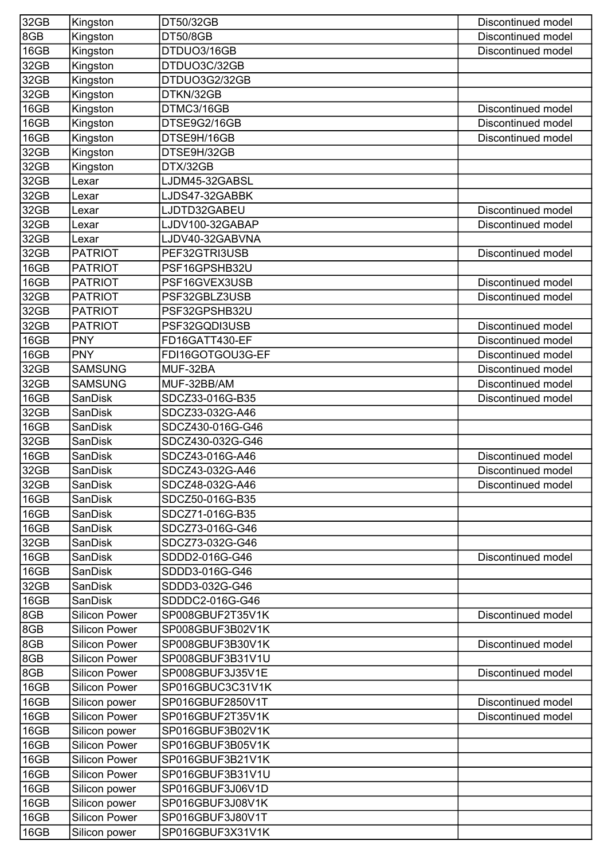| 32GB | Kingston             | DT50/32GB        | Discontinued model |
|------|----------------------|------------------|--------------------|
| 8GB  | Kingston             | <b>DT50/8GB</b>  | Discontinued model |
| 16GB | Kingston             | DTDUO3/16GB      | Discontinued model |
| 32GB | Kingston             | DTDUO3C/32GB     |                    |
| 32GB | Kingston             | DTDUO3G2/32GB    |                    |
| 32GB | Kingston             | DTKN/32GB        |                    |
| 16GB | Kingston             | DTMC3/16GB       | Discontinued model |
| 16GB | Kingston             | DTSE9G2/16GB     | Discontinued model |
| 16GB | Kingston             | DTSE9H/16GB      | Discontinued model |
| 32GB | Kingston             | DTSE9H/32GB      |                    |
| 32GB | Kingston             | DTX/32GB         |                    |
| 32GB | Lexar                | LJDM45-32GABSL   |                    |
| 32GB | Lexar                | LJDS47-32GABBK   |                    |
| 32GB | Lexar                | LJDTD32GABEU     | Discontinued model |
| 32GB | Lexar                | LJDV100-32GABAP  | Discontinued model |
| 32GB | Lexar                | LJDV40-32GABVNA  |                    |
| 32GB | <b>PATRIOT</b>       | PEF32GTRI3USB    | Discontinued model |
| 16GB | <b>PATRIOT</b>       | PSF16GPSHB32U    |                    |
| 16GB | <b>PATRIOT</b>       | PSF16GVEX3USB    | Discontinued model |
| 32GB | <b>PATRIOT</b>       | PSF32GBLZ3USB    | Discontinued model |
| 32GB | <b>PATRIOT</b>       | PSF32GPSHB32U    |                    |
| 32GB | <b>PATRIOT</b>       | PSF32GQDI3USB    | Discontinued model |
| 16GB | <b>PNY</b>           | FD16GATT430-EF   | Discontinued model |
| 16GB | <b>PNY</b>           | FDI16GOTGOU3G-EF | Discontinued model |
| 32GB | <b>SAMSUNG</b>       | MUF-32BA         | Discontinued model |
| 32GB | <b>SAMSUNG</b>       | MUF-32BB/AM      | Discontinued model |
| 16GB | <b>SanDisk</b>       | SDCZ33-016G-B35  | Discontinued model |
| 32GB | <b>SanDisk</b>       | SDCZ33-032G-A46  |                    |
| 16GB | SanDisk              | SDCZ430-016G-G46 |                    |
| 32GB | SanDisk              | SDCZ430-032G-G46 |                    |
| 16GB | SanDisk              | SDCZ43-016G-A46  | Discontinued model |
| 32GB | SanDisk              | SDCZ43-032G-A46  | Discontinued model |
| 32GB | <b>SanDisk</b>       | SDCZ48-032G-A46  | Discontinued model |
| 16GB | <b>SanDisk</b>       | SDCZ50-016G-B35  |                    |
| 16GB | SanDisk              | SDCZ71-016G-B35  |                    |
| 16GB | SanDisk              | SDCZ73-016G-G46  |                    |
| 32GB | <b>SanDisk</b>       | SDCZ73-032G-G46  |                    |
| 16GB | <b>SanDisk</b>       | SDDD2-016G-G46   | Discontinued model |
| 16GB | SanDisk              | SDDD3-016G-G46   |                    |
| 32GB | <b>SanDisk</b>       | SDDD3-032G-G46   |                    |
| 16GB | <b>SanDisk</b>       | SDDDC2-016G-G46  |                    |
| 8GB  | <b>Silicon Power</b> | SP008GBUF2T35V1K | Discontinued model |
| 8GB  | <b>Silicon Power</b> | SP008GBUF3B02V1K |                    |
| 8GB  | <b>Silicon Power</b> | SP008GBUF3B30V1K | Discontinued model |
| 8GB  | <b>Silicon Power</b> | SP008GBUF3B31V1U |                    |
| 8GB  | <b>Silicon Power</b> | SP008GBUF3J35V1E | Discontinued model |
| 16GB | <b>Silicon Power</b> | SP016GBUC3C31V1K |                    |
| 16GB | Silicon power        | SP016GBUF2850V1T | Discontinued model |
| 16GB | <b>Silicon Power</b> | SP016GBUF2T35V1K | Discontinued model |
| 16GB | Silicon power        | SP016GBUF3B02V1K |                    |
| 16GB | <b>Silicon Power</b> | SP016GBUF3B05V1K |                    |
| 16GB | <b>Silicon Power</b> | SP016GBUF3B21V1K |                    |
| 16GB | <b>Silicon Power</b> | SP016GBUF3B31V1U |                    |
| 16GB | Silicon power        | SP016GBUF3J06V1D |                    |
| 16GB | Silicon power        | SP016GBUF3J08V1K |                    |
| 16GB | <b>Silicon Power</b> | SP016GBUF3J80V1T |                    |
| 16GB | Silicon power        | SP016GBUF3X31V1K |                    |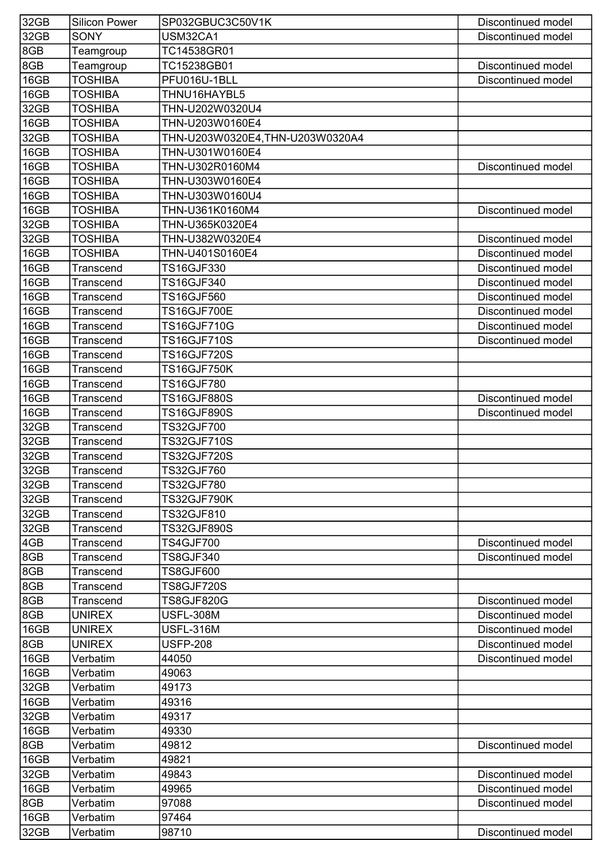| 32GB | <b>Silicon Power</b> | SP032GBUC3C50V1K                | Discontinued model |
|------|----------------------|---------------------------------|--------------------|
| 32GB | <b>SONY</b>          | USM32CA1                        | Discontinued model |
| 8GB  | Teamgroup            | TC14538GR01                     |                    |
| 8GB  | Teamgroup            | TC15238GB01                     | Discontinued model |
| 16GB | <b>TOSHIBA</b>       | PFU016U-1BLL                    | Discontinued model |
| 16GB | <b>TOSHIBA</b>       | THNU16HAYBL5                    |                    |
| 32GB | <b>TOSHIBA</b>       | THN-U202W0320U4                 |                    |
| 16GB | <b>TOSHIBA</b>       | THN-U203W0160E4                 |                    |
| 32GB | <b>TOSHIBA</b>       | THN-U203W0320E4,THN-U203W0320A4 |                    |
| 16GB | <b>TOSHIBA</b>       | THN-U301W0160E4                 |                    |
| 16GB | <b>TOSHIBA</b>       | THN-U302R0160M4                 | Discontinued model |
| 16GB | <b>TOSHIBA</b>       | THN-U303W0160E4                 |                    |
| 16GB | <b>TOSHIBA</b>       | THN-U303W0160U4                 |                    |
| 16GB | <b>TOSHIBA</b>       | THN-U361K0160M4                 | Discontinued model |
| 32GB | <b>TOSHIBA</b>       | THN-U365K0320E4                 |                    |
| 32GB | <b>TOSHIBA</b>       | THN-U382W0320E4                 | Discontinued model |
| 16GB | <b>TOSHIBA</b>       | THN-U401S0160E4                 | Discontinued model |
| 16GB | Transcend            | <b>TS16GJF330</b>               | Discontinued model |
| 16GB | Transcend            | <b>TS16GJF340</b>               | Discontinued model |
| 16GB | <b>Transcend</b>     | <b>TS16GJF560</b>               | Discontinued model |
| 16GB | Transcend            | <b>TS16GJF700E</b>              | Discontinued model |
| 16GB | Transcend            | <b>TS16GJF710G</b>              | Discontinued model |
| 16GB | Transcend            | <b>TS16GJF710S</b>              | Discontinued model |
| 16GB | Transcend            | <b>TS16GJF720S</b>              |                    |
| 16GB | Transcend            | <b>TS16GJF750K</b>              |                    |
| 16GB | Transcend            | <b>TS16GJF780</b>               |                    |
| 16GB | Transcend            | <b>TS16GJF880S</b>              | Discontinued model |
| 16GB | Transcend            | <b>TS16GJF890S</b>              | Discontinued model |
| 32GB | Transcend            | <b>TS32GJF700</b>               |                    |
| 32GB | <b>Transcend</b>     | <b>TS32GJF710S</b>              |                    |
| 32GB | Transcend            | <b>TS32GJF720S</b>              |                    |
| 32GB | Transcend            | <b>TS32GJF760</b>               |                    |
| 32GB | Transcend            | <b>TS32GJF780</b>               |                    |
| 32GB | Transcend            | <b>TS32GJF790K</b>              |                    |
| 32GB | Transcend            | <b>TS32GJF810</b>               |                    |
| 32GB | Transcend            | <b>TS32GJF890S</b>              |                    |
| 4GB  | Transcend            | <b>TS4GJF700</b>                | Discontinued model |
| 8GB  | Transcend            | <b>TS8GJF340</b>                | Discontinued model |
| 8GB  | Transcend            | <b>TS8GJF600</b>                |                    |
| 8GB  | Transcend            | <b>TS8GJF720S</b>               |                    |
| 8GB  | Transcend            | <b>TS8GJF820G</b>               | Discontinued model |
| 8GB  | <b>UNIREX</b>        | <b>USFL-308M</b>                | Discontinued model |
| 16GB | <b>UNIREX</b>        | <b>USFL-316M</b>                | Discontinued model |
| 8GB  | <b>UNIREX</b>        | <b>USFP-208</b>                 | Discontinued model |
| 16GB | Verbatim             | 44050                           | Discontinued model |
| 16GB | Verbatim             | 49063                           |                    |
| 32GB | Verbatim             | 49173                           |                    |
| 16GB | Verbatim             | 49316                           |                    |
| 32GB | Verbatim             | 49317                           |                    |
| 16GB | Verbatim             | 49330                           |                    |
| 8GB  | Verbatim             | 49812                           | Discontinued model |
| 16GB | Verbatim             | 49821                           |                    |
| 32GB | Verbatim             | 49843                           | Discontinued model |
| 16GB | Verbatim             | 49965                           | Discontinued model |
| 8GB  | Verbatim             | 97088                           | Discontinued model |
| 16GB | Verbatim             | 97464                           |                    |
| 32GB | Verbatim             | 98710                           | Discontinued model |